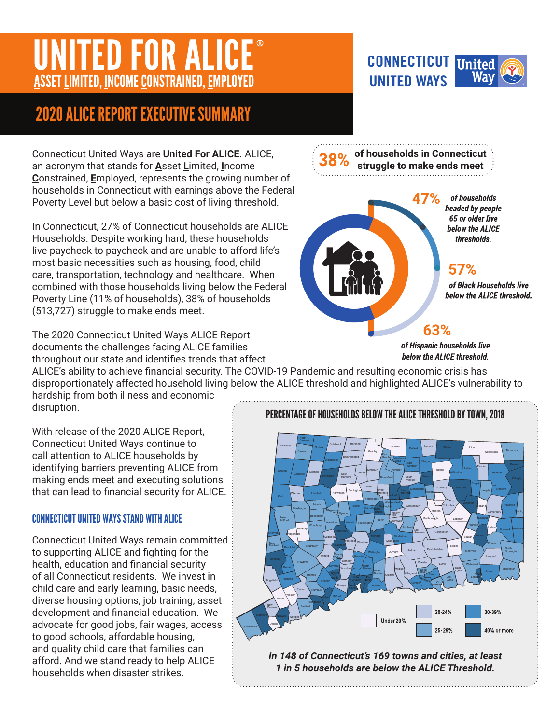# NITED FOR ALICE ASSET LIMITED, INCOME CONSTRAINED, EMPLOYED

## 2020 ALICE REPORT EXECUTIVE SUMMARY

Connecticut United Ways are **United For ALICE**. ALICE, an acronym that stands for **A**sset **L**imited, **I**ncome **C**onstrained, **E**mployed, represents the growing number of households in Connecticut with earnings above the Federal Poverty Level but below a basic cost of living threshold.

In Connecticut, 27% of Connecticut households are ALICE Households. Despite working hard, these households live paycheck to paycheck and are unable to afford life's most basic necessities such as housing, food, child care, transportation, technology and healthcare. When combined with those households living below the Federal Poverty Line (11% of households), 38% of households (513,727) struggle to make ends meet.

The 2020 Connecticut United Ways ALICE Report documents the challenges facing ALICE families throughout our state and identifies trends that affect

ALICE's ability to achieve financial security. The COVID-19 Pandemic and resulting economic crisis has disproportionately affected household living below the ALICE threshold and highlighted ALICE's vulnerability to

hardship from both illness and economic disruption.

With release of the 2020 ALICE Report, Connecticut United Ways continue to call attention to ALICE households by identifying barriers preventing ALICE from making ends meet and executing solutions that can lead to financial security for ALICE.

### CONNECTICUT UNITED WAYS STAND WITH ALICE

Connecticut United Ways remain committed to supporting ALICE and fighting for the health, education and financial security of all Connecticut residents. We invest in child care and early learning, basic needs, diverse housing options, job training, asset development and financial education. We advocate for good jobs, fair wages, access to good schools, affordable housing, and quality child care that families can afford. And we stand ready to help ALICE households when disaster strikes.

## PERCENTAGE OF HOUSEHOLDS BELOW THE ALICE THRESHOLD BY TOWN, 2018



*In 148 of Connecticut's 169 towns and cities, at least 1 in 5 households are below the ALICE Threshold.*

of households in Connecticut struggle to make ends meet

**UNITED WAYS**

of households headed by people **65 or older live** below the ALICE thresholds.

### 57%

of Black Households live below the ALICE threshold.

### 63%

of Hispanic households live below the ALICE threshold.



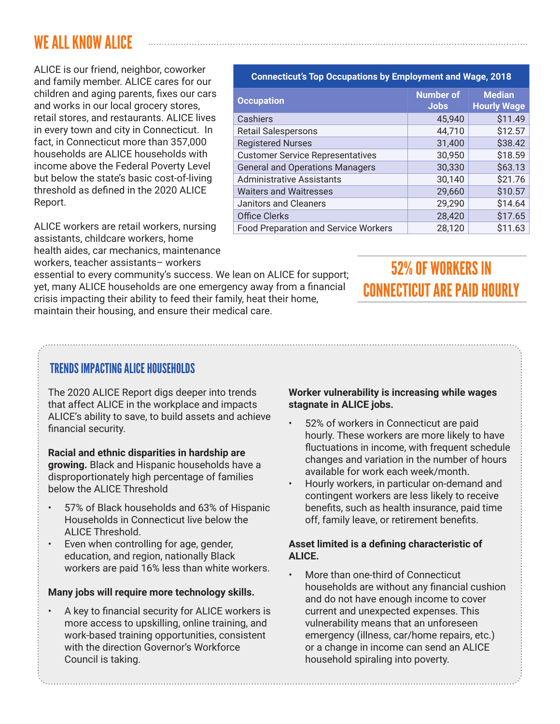### WE ALL KNOW ALICE

ALICE is our friend, neighbor, coworker and family member. ALICE cares for our children and aging parents, fixes our cars and works in our local grocery stores, retail stores, and restaurants. ALICE lives in every town and city in Connecticut. In fact, in Connecticut more than 357,000 households are ALICE households with income above the Federal Poverty Level but below the state's basic cost-of-living threshold as defined in the 2020 ALICE Report.

ALICE workers are retail workers, nursing assistants, childcare workers, home health aides, car mechanics, maintenance workers, teacher assistants– workers

essential to every community's success. We lean on ALICE for support; yet, many ALICE households are one emergency away from a financial crisis impacting their ability to feed their family, heat their home, maintain their housing, and ensure their medical care.

#### **Connecticut's Top Occupations by Employment and Wage, 2018**

| <b>Occupation</b>                           | <b>Number of</b><br><b>Jobs</b> | <b>Median</b><br><b>Hourly Wage</b> |
|---------------------------------------------|---------------------------------|-------------------------------------|
| Cashiers                                    | 45,940                          | \$11.49                             |
| <b>Retail Salespersons</b>                  | 44,710                          | \$12.57                             |
| <b>Registered Nurses</b>                    | 31,400                          | \$38.42                             |
| <b>Customer Service Representatives</b>     | 30,950                          | \$18.59                             |
| <b>General and Operations Managers</b>      | 30,330                          | \$63.13                             |
| <b>Administrative Assistants</b>            | 30,140                          | \$21.76                             |
| <b>Waiters and Waitresses</b>               | 29,660                          | \$10.57                             |
| Janitors and Cleaners                       | 29,290                          | \$14.64                             |
| <b>Office Clerks</b>                        | 28,420                          | \$17.65                             |
| <b>Food Preparation and Service Workers</b> | 28,120                          | \$11.63                             |

### **52% OF WORKERS IN CONNECTICUT ARE PAID HOURLY**

### TRENDS IMPACTING ALICE HOUSEHOLDS

The 2020 ALICE Report digs deeper into trends that affect ALICE in the workplace and impacts ALICE's ability to save, to build assets and achieve financial security.

**Racial and ethnic disparities in hardship are growing.** Black and Hispanic households have a disproportionately high percentage of families below the ALICE Threshold

- 57% of Black households and 63% of Hispanic Households in Connecticut live below the ALICE Threshold.
- Even when controlling for age, gender, education, and region, nationally Black workers are paid 16% less than white workers.

#### **Many jobs will require more technology skills.**

• A key to financial security for ALICE workers is more access to upskilling, online training, and work-based training opportunities, consistent with the direction Governor's Workforce Council is taking.

#### **Worker vulnerability is increasing while wages stagnate in ALICE jobs.**

- 52% of workers in Connecticut are paid hourly. These workers are more likely to have fluctuations in income, with frequent schedule changes and variation in the number of hours available for work each week/month.
- Hourly workers, in particular on-demand and contingent workers are less likely to receive benefits, such as health insurance, paid time off, family leave, or retirement benefits.

#### **Asset limited is a defining characteristic of ALICE.**

• More than one-third of Connecticut households are without any financial cushion and do not have enough income to cover current and unexpected expenses. This vulnerability means that an unforeseen emergency (illness, car/home repairs, etc.) or a change in income can send an ALICE household spiraling into poverty.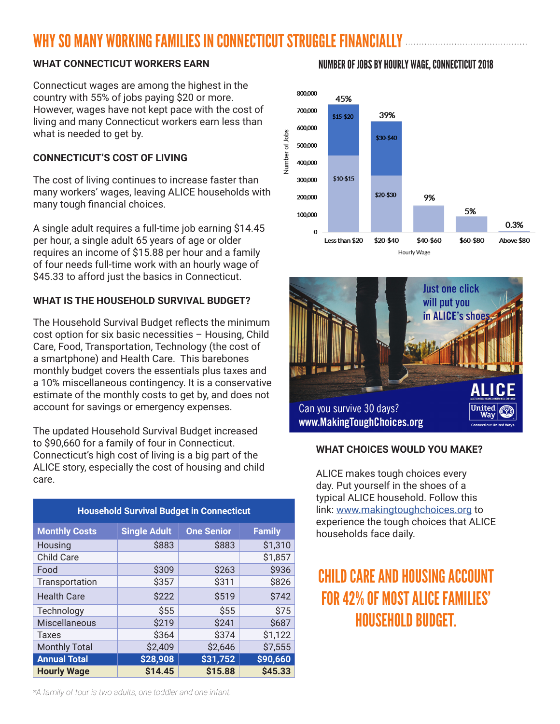## WHY SO MANY WORKING FAMILIES IN CONNECTICIIT STRIIGGLE FINANCIALLY...

#### **WHAT CONNECTICUT WORKERS EARN**

Connecticut wages are among the highest in the country with 55% of jobs paying \$20 or more. However, wages have not kept pace with the cost of living and many Connecticut workers earn less than what is needed to get by.

#### **CONNECTICUT'S COST OF LIVING**

The cost of living continues to increase faster than many workers' wages, leaving ALICE households with many tough financial choices.

A single adult requires a full-time job earning \$14.45 per hour, a single adult 65 years of age or older requires an income of \$15.88 per hour and a family of four needs full-time work with an hourly wage of \$45.33 to afford just the basics in Connecticut.

### **WHAT IS THE HOUSEHOLD SURVIVAL BUDGET?**

The Household Survival Budget reflects the minimum cost option for six basic necessities – Housing, Child Care, Food, Transportation, Technology (the cost of a smartphone) and Health Care. This barebones monthly budget covers the essentials plus taxes and a 10% miscellaneous contingency. It is a conservative estimate of the monthly costs to get by, and does not account for savings or emergency expenses.

The updated Household Survival Budget increased to \$90,660 for a family of four in Connecticut. Connecticut's high cost of living is a big part of the ALICE story, especially the cost of housing and child care.

| <b>Household Survival Budget in Connecticut</b> |                     |                   |               |
|-------------------------------------------------|---------------------|-------------------|---------------|
| <b>Monthly Costs</b>                            | <b>Single Adult</b> | <b>One Senior</b> | <b>Family</b> |
| Housing                                         | \$883               | \$883             | \$1,310       |
| <b>Child Care</b>                               |                     |                   | \$1,857       |
| Food                                            | \$309               | \$263             | \$936         |
| Transportation                                  | \$357               | \$311             | \$826         |
| <b>Health Care</b>                              | \$222               | \$519             | \$742         |
| Technology                                      | \$55                | \$55              | \$75          |
| Miscellaneous                                   | \$219               | \$241             | \$687         |
| <b>Taxes</b>                                    | \$364               | \$374             | \$1,122       |
| <b>Monthly Total</b>                            | \$2,409             | \$2,646           | \$7,555       |
| <b>Annual Total</b>                             | \$28,908            | \$31,752          | \$90,660      |
| <b>Hourly Wage</b>                              | \$14.45             | \$15.88           | \$45.33       |





#### **WHAT CHOICES WOULD YOU MAKE?**

ALICE makes tough choices every day. Put yourself in the shoes of a typical ALICE household. Follow this link: [www.makingtoughchoices.org](http://www.makingtoughchoices.org) to experience the tough choices that ALICE households face daily.

## CHILD CARE AND HOUSING ACCOUNT FOR 42% OF MOST ALICE FAMILIES' HOUSEHOLD BUDGET

### NUMBER OF JOBS BY HOURLY WAGE, CONNECTICUT 2018

*\*A family of four is two adults, one toddler and one infant.*